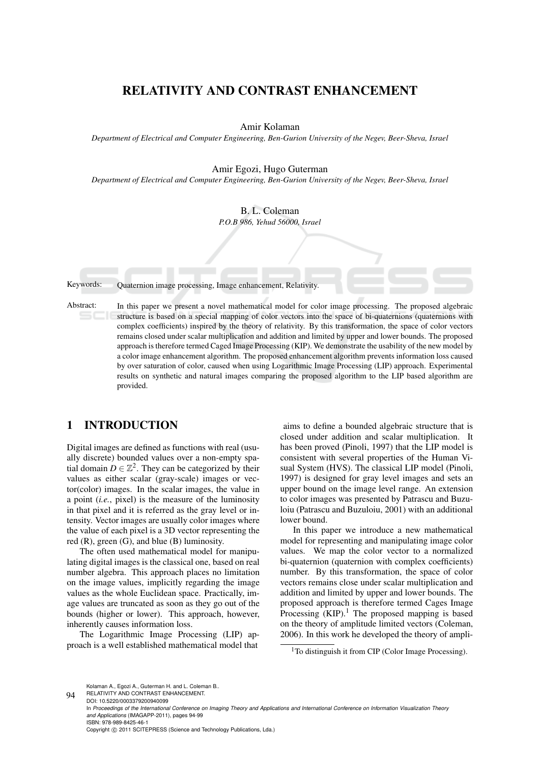# RELATIVITY AND CONTRAST ENHANCEMENT

Amir Kolaman

*Department of Electrical and Computer Engineering, Ben-Gurion University of the Negev, Beer-Sheva, Israel*

Amir Egozi, Hugo Guterman

*Department of Electrical and Computer Engineering, Ben-Gurion University of the Negev, Beer-Sheva, Israel*

B. L. Coleman *P.O.B 986, Yehud 56000, Israel*

Keywords: Quaternion image processing, Image enhancement, Relativity.

Abstract: In this paper we present a novel mathematical model for color image processing. The proposed algebraic structure is based on a special mapping of color vectors into the space of bi-quaternions (quaternions with complex coefficients) inspired by the theory of relativity. By this transformation, the space of color vectors remains closed under scalar multiplication and addition and limited by upper and lower bounds. The proposed approach is therefore termed Caged Image Processing (KIP). We demonstrate the usability of the new model by a color image enhancement algorithm. The proposed enhancement algorithm prevents information loss caused by over saturation of color, caused when using Logarithmic Image Processing (LIP) approach. Experimental results on synthetic and natural images comparing the proposed algorithm to the LIP based algorithm are provided.

## 1 INTRODUCTION

Digital images are defined as functions with real (usually discrete) bounded values over a non-empty spatial domain  $D \in \mathbb{Z}^2$ . They can be categorized by their values as either scalar (gray-scale) images or vector(color) images. In the scalar images, the value in a point (*i.e.*, pixel) is the measure of the luminosity in that pixel and it is referred as the gray level or intensity. Vector images are usually color images where the value of each pixel is a 3D vector representing the red (R), green (G), and blue (B) luminosity.

The often used mathematical model for manipulating digital images is the classical one, based on real number algebra. This approach places no limitation on the image values, implicitly regarding the image values as the whole Euclidean space. Practically, image values are truncated as soon as they go out of the bounds (higher or lower). This approach, however, inherently causes information loss.

The Logarithmic Image Processing (LIP) approach is a well established mathematical model that

aims to define a bounded algebraic structure that is closed under addition and scalar multiplication. It has been proved (Pinoli, 1997) that the LIP model is consistent with several properties of the Human Visual System (HVS). The classical LIP model (Pinoli, 1997) is designed for gray level images and sets an upper bound on the image level range. An extension to color images was presented by Patrascu and Buzuloiu (Patrascu and Buzuloiu, 2001) with an additional lower bound.

In this paper we introduce a new mathematical model for representing and manipulating image color values. We map the color vector to a normalized bi-quaternion (quaternion with complex coefficients) number. By this transformation, the space of color vectors remains close under scalar multiplication and addition and limited by upper and lower bounds. The proposed approach is therefore termed Cages Image Processing  $(KIP)$ .<sup>1</sup> The proposed mapping is based on the theory of amplitude limited vectors (Coleman, 2006). In this work he developed the theory of ampli-

<sup>1</sup>To distinguish it from CIP (Color Image Processing).

94 Kolaman A., Egozi A., Guterman H. and L. Coleman B.. RELATIVITY AND CONTRAST ENHANCEMENT.

DOI: 10.5220/0003379200940099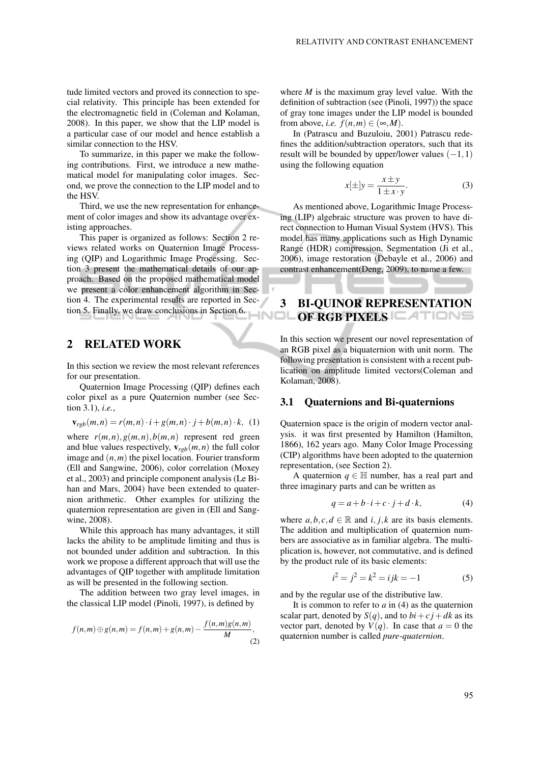tude limited vectors and proved its connection to special relativity. This principle has been extended for the electromagnetic field in (Coleman and Kolaman, 2008). In this paper, we show that the LIP model is a particular case of our model and hence establish a similar connection to the HSV.

To summarize, in this paper we make the following contributions. First, we introduce a new mathematical model for manipulating color images. Second, we prove the connection to the LIP model and to the HSV.

Third, we use the new representation for enhancement of color images and show its advantage over existing approaches.

This paper is organized as follows: Section 2 reviews related works on Quaternion Image Processing (QIP) and Logarithmic Image Processing. Section 3 present the mathematical details of our approach. Based on the proposed mathematical model we present a color enhancement algorithm in Section 4. The experimental results are reported in Section 5. Finally, we draw conclusions in Section 6.

## 2 RELATED WORK

In this section we review the most relevant references for our presentation.

Quaternion Image Processing (QIP) defines each color pixel as a pure Quaternion number (see Section 3.1), *i.e.*,

$$
\mathbf{v}_{rgb}(m,n) = r(m,n) \cdot i + g(m,n) \cdot j + b(m,n) \cdot k, (1)
$$

where  $r(m,n), g(m,n), b(m,n)$  represent red green and blue values respectively,  $\mathbf{v}_{\text{reb}}(m, n)$  the full color image and (*n*,*m*) the pixel location. Fourier transform (Ell and Sangwine, 2006), color correlation (Moxey et al., 2003) and principle component analysis (Le Bihan and Mars, 2004) have been extended to quaternion arithmetic. Other examples for utilizing the quaternion representation are given in (Ell and Sangwine, 2008).

While this approach has many advantages, it still lacks the ability to be amplitude limiting and thus is not bounded under addition and subtraction. In this work we propose a different approach that will use the advantages of QIP together with amplitude limitation as will be presented in the following section.

The addition between two gray level images, in the classical LIP model (Pinoli, 1997), is defined by

$$
f(n,m) \oplus g(n,m) = f(n,m) + g(n,m) - \frac{f(n,m)g(n,m)}{M},
$$
\n(2)

where *M* is the maximum gray level value. With the definition of subtraction (see (Pinoli, 1997)) the space of gray tone images under the LIP model is bounded from above, *i.e.*  $f(n,m) \in (\infty, M)$ .

In (Patrascu and Buzuloiu, 2001) Patrascu redefines the addition/subtraction operators, such that its result will be bounded by upper/lower values  $(-1,1)$ using the following equation

$$
x[\pm]y = \frac{x \pm y}{1 \pm x \cdot y}.
$$
 (3)

As mentioned above, Logarithmic Image Processing (LIP) algebraic structure was proven to have direct connection to Human Visual System (HVS). This model has many applications such as High Dynamic Range (HDR) compression, Segmentation (Ji et al., 2006), image restoration (Debayle et al., 2006) and contrast enhancement(Deng, 2009), to name a few.

## 3 BI-QUINOR REPRESENTATION OF RGB PIXELS **ATIONS**

In this section we present our novel representation of an RGB pixel as a biquaternion with unit norm. The following presentation is consistent with a recent publication on amplitude limited vectors(Coleman and Kolaman, 2008).

### 3.1 Quaternions and Bi-quaternions

Quaternion space is the origin of modern vector analysis. it was first presented by Hamilton (Hamilton, 1866), 162 years ago. Many Color Image Processing (CIP) algorithms have been adopted to the quaternion representation, (see Section 2).

A quaternion  $q \in \mathbb{H}$  number, has a real part and three imaginary parts and can be written as

$$
q = a + b \cdot i + c \cdot j + d \cdot k,\tag{4}
$$

where  $a, b, c, d \in \mathbb{R}$  and  $i, j, k$  are its basis elements. The addition and multiplication of quaternion numbers are associative as in familiar algebra. The multiplication is, however, not commutative, and is defined by the product rule of its basic elements:

$$
i^2 = j^2 = k^2 = ijk = -1
$$
 (5)

and by the regular use of the distributive law.

It is common to refer to *a* in (4) as the quaternion scalar part, denoted by  $S(q)$ , and to  $bi + cj + dk$  as its vector part, denoted by  $V(q)$ . In case that  $a = 0$  the quaternion number is called *pure-quaternion*.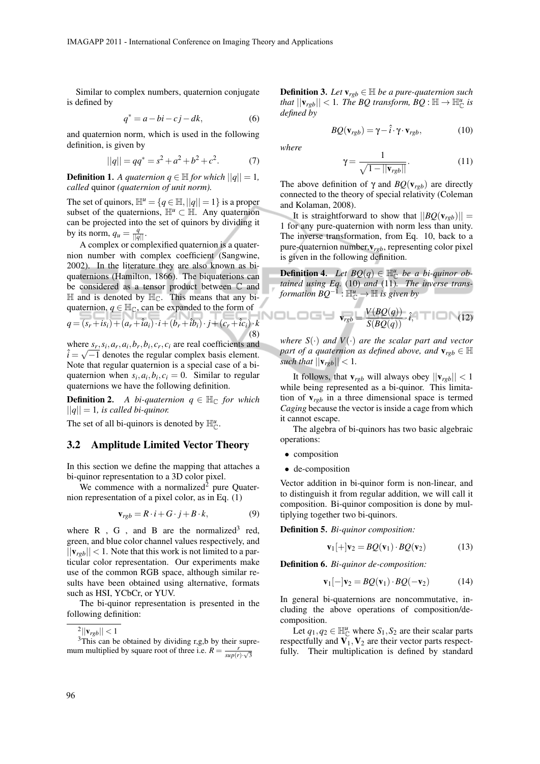Similar to complex numbers, quaternion conjugate is defined by

$$
q^* = a - bi - cj - dk,\tag{6}
$$

and quaternion norm, which is used in the following definition, is given by

$$
||q|| = qq^* = s^2 + a^2 + b^2 + c^2.
$$
 (7)

**Definition 1.** *A quaternion*  $q \in \mathbb{H}$  *for which*  $||q|| = 1$ *, called* quinor *(quaternion of unit norm).*

The set of quinors,  $\mathbb{H}^u = \{q \in \mathbb{H}, ||q|| = 1\}$  is a proper subset of the quaternions,  $\mathbb{H}^u \subset \mathbb{H}$ . Any quaternion can be projected into the set of quinors by dividing it by its norm,  $q_u = \frac{q}{\|q\|}$ .

A complex or complexified quaternion is a quaternion number with complex coefficient (Sangwine, 2002). In the literature they are also known as biquaternions (Hamilton, 1866). The biquaterions can be considered as a tensor product between C and  $\mathbb H$  and is denoted by  $\mathbb H_{\mathbb C}$ . This means that any biquaternion,  $q \in \mathbb{H}_{\mathbb{C}}$ , can be expanded to the form of

$$
q = \overline{(s_r + is_i) + (a_r + \hat{i}a_i) \cdot i + (b_r + \hat{i}b_i) \cdot j + (c_r + \hat{i}c_i) \cdot k}
$$
\n(8)

where  $s_r, s_i, a_r, a_i, b_r, b_i, c_r, c_i$  are real coefficients and  $\hat{i} = \sqrt{-1}$  denotes the regular complex basis element. Note that regular quaternion is a special case of a biquaternion when  $s_i$ ,  $a_i$ ,  $b_i$ ,  $c_i$  = 0. Similar to regular quaternions we have the following definition.

**Definition 2.** *A bi-quaternion*  $q \in \mathbb{H}_{\mathbb{C}}$  *for which*  $||q|| = 1$ *, is called bi-quinor.* 

The set of all bi-quinors is denoted by  $\mathbb{H}_{\mathbb{C}}^u$ .

### 3.2 Amplitude Limited Vector Theory

In this section we define the mapping that attaches a bi-quinor representation to a 3D color pixel.

We commence with a normalized<sup>2</sup> pure Quaternion representation of a pixel color, as in Eq. (1)

$$
\mathbf{v}_{rgb} = R \cdot i + G \cdot j + B \cdot k,\tag{9}
$$

where  $R$ ,  $G$ , and  $B$  are the normalized<sup>3</sup> red, green, and blue color channel values respectively, and  $||v_{\text{rob}}|| < 1$ . Note that this work is not limited to a particular color representation. Our experiments make use of the common RGB space, although similar results have been obtained using alternative, formats such as HSI, YCbCr, or YUV.

The bi-quinor representation is presented in the following definition:

**Definition 3.** *Let*  $\mathbf{v}_{rgb} \in \mathbb{H}$  *be a pure-quaternion such that*  $||\mathbf{v}_{rgb}|| < 1$ *. The BQ transform, BQ* :  $\mathbb{H} \rightarrow \mathbb{H}_{\mathbb{C}}^{u}$  *is defined by*

$$
BQ(\mathbf{v}_{rgb}) = \gamma - \hat{i} \cdot \gamma \cdot \mathbf{v}_{rgb},\tag{10}
$$

*where*

$$
\gamma = \frac{1}{\sqrt{1 - ||\mathbf{v}_{rgb}||}}.\tag{11}
$$

The above definition of  $\gamma$  and  $BQ(\mathbf{v}_{\text{reb}})$  are directly connected to the theory of special relativity (Coleman and Kolaman, 2008).

It is straightforward to show that  $||BO(v_{\text{rob}})||$  = 1 for any pure-quaternion with norm less than unity. The inverse transformation, from Eq. 10, back to a pure-quaternion number,v*rgb*, representing color pixel is given in the following definition.

**Definition 4.** Let  $BQ(q) \in \mathbb{H}_{\mathbb{C}}^u$  be a bi-quinor ob*tained using Eq.* (10) *and* (11)*. The inverse transformation BQ*−<sup>1</sup> : H*<sup>u</sup>* <sup>C</sup> → H *is given by*

$$
\mathbf{v}_{rgb} = \mathbf{v}_{rgb} = \frac{V(BQ(q))}{S(BQ(q))} \cdot \hat{\imath}, \quad \blacksquare \blacksquare \blacksquare \blacksquare \blacksquare \blacksquare (12)
$$

*where*  $S(\cdot)$  *and*  $V(\cdot)$  *are the scalar part and vector part of a quaternion as defined above, and*  $\mathbf{v}_{rgb} \in \mathbb{H}$ *such that*  $||\mathbf{v}_{rgb}|| < 1$ *.* 

It follows, that  $v_{rgb}$  will always obey  $||v_{rgb}|| < 1$ while being represented as a bi-quinor. This limitation of v*rgb* in a three dimensional space is termed *Caging* because the vector is inside a cage from which it cannot escape.

The algebra of bi-quinors has two basic algebraic operations:

- composition
- de-composition

Vector addition in bi-quinor form is non-linear, and to distinguish it from regular addition, we will call it composition. Bi-quinor composition is done by multiplying together two bi-quinors.

Definition 5*. Bi-quinor composition:*

$$
\mathbf{v}_1[+]\mathbf{v}_2 = BQ(\mathbf{v}_1) \cdot BQ(\mathbf{v}_2) \tag{13}
$$

Definition 6*. Bi-quinor de-composition:*

$$
\mathbf{v}_1[-]\mathbf{v}_2 = BQ(\mathbf{v}_1) \cdot BQ(-\mathbf{v}_2) \tag{14}
$$

In general bi-quaternions are noncommutative, including the above operations of composition/decomposition.

Let  $q_1, q_2 \in \mathbb{H}_{\mathbb{C}}^u$  where  $S_1, S_2$  are their scalar parts respectfully and  $\tilde{V_1}, V_2$  are their vector parts respectfully. Their multiplication is defined by standard

 $2||\mathbf{v}_{rgb}|| < 1$ 

<sup>&</sup>lt;sup>3</sup>This can be obtained by dividing r,g,b by their supremum multiplied by square root of three i.e.  $R = \frac{r}{\sqrt{2\pi}}$  $\frac{r}{\sup(r)\cdot\sqrt{3}}$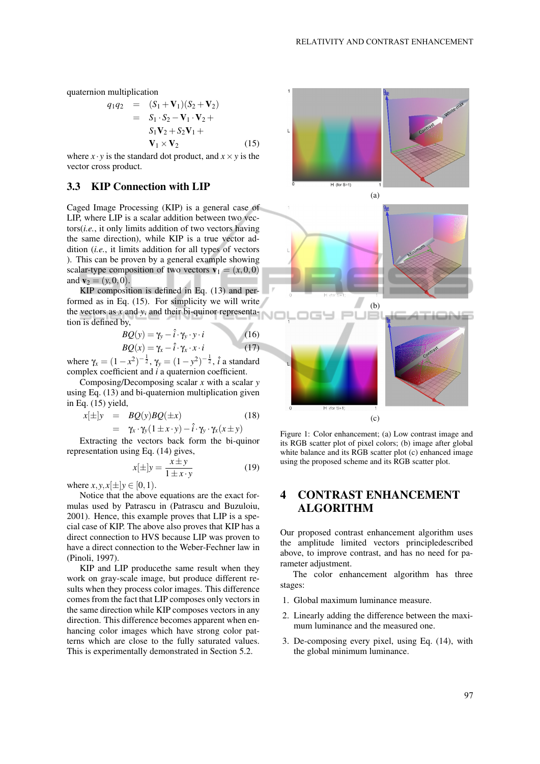quaternion multiplication

$$
q_1q_2 = (S_1 + V_1)(S_2 + V_2)
$$
  
=  $S_1 \cdot S_2 - V_1 \cdot V_2 +$   
 $S_1V_2 + S_2V_1 +$   
 $V_1 \times V_2$ 

 $(15)$ 

where  $x \cdot y$  is the standard dot product, and  $x \times y$  is the vector cross product.

## 3.3 KIP Connection with LIP

Caged Image Processing (KIP) is a general case of LIP, where LIP is a scalar addition between two vectors(*i.e.*, it only limits addition of two vectors having the same direction), while KIP is a true vector addition (*i.e.*, it limits addition for all types of vectors ). This can be proven by a general example showing scalar-type composition of two vectors  $\mathbf{v}_1 = (x, 0, 0)$ and  $v_2 = (y, 0, 0)$ .

KIP composition is defined in Eq. (13) and performed as in Eq. (15). For simplicity we will write the vectors as *x* and *y*, and their bi-quinor representation is defined by, A

$$
BQ(y) = \gamma_y - \hat{i} \cdot \gamma_y \cdot y \cdot i
$$
  
\n
$$
BQ(x) = \gamma_x - \hat{i} \cdot \gamma_x \cdot x \cdot i
$$
 (16)

where  $\gamma_x = (1 - x^2)^{-\frac{1}{2}}$ ,  $\gamma_y = (1 - y^2)^{-\frac{1}{2}}$ ,  $\hat{i}$  a standard complex coefficient and *i* a quaternion coefficient.

Composing/Decomposing scalar *x* with a scalar *y* using Eq. (13) and bi-quaternion multiplication given in Eq. (15) yield,

$$
x[\pm]y = BQ(y)BQ(\pm x)
$$
  
=  $\gamma_x \cdot \gamma_y (1 \pm x \cdot y) - \hat{i} \cdot \gamma_y \cdot \gamma_x (x \pm y)$  (18)

Extracting the vectors back form the bi-quinor representation using Eq. (14) gives,

$$
x[\pm]y = \frac{x \pm y}{1 \pm x \cdot y} \tag{19}
$$

where  $x, y, x[\pm]y \in [0, 1)$ .

Notice that the above equations are the exact formulas used by Patrascu in (Patrascu and Buzuloiu, 2001). Hence, this example proves that LIP is a special case of KIP. The above also proves that KIP has a direct connection to HVS because LIP was proven to have a direct connection to the Weber-Fechner law in (Pinoli, 1997).

KIP and LIP producethe same result when they work on gray-scale image, but produce different results when they process color images. This difference comes from the fact that LIP composes only vectors in the same direction while KIP composes vectors in any direction. This difference becomes apparent when enhancing color images which have strong color patterns which are close to the fully saturated values. This is experimentally demonstrated in Section 5.2.





Figure 1: Color enhancement; (a) Low contrast image and its RGB scatter plot of pixel colors; (b) image after global white balance and its RGB scatter plot (c) enhanced image using the proposed scheme and its RGB scatter plot.

# 4 CONTRAST ENHANCEMENT ALGORITHM

Our proposed contrast enhancement algorithm uses the amplitude limited vectors principledescribed above, to improve contrast, and has no need for parameter adjustment.

The color enhancement algorithm has three stages:

- 1. Global maximum luminance measure.
- 2. Linearly adding the difference between the maximum luminance and the measured one.
- 3. De-composing every pixel, using Eq. (14), with the global minimum luminance.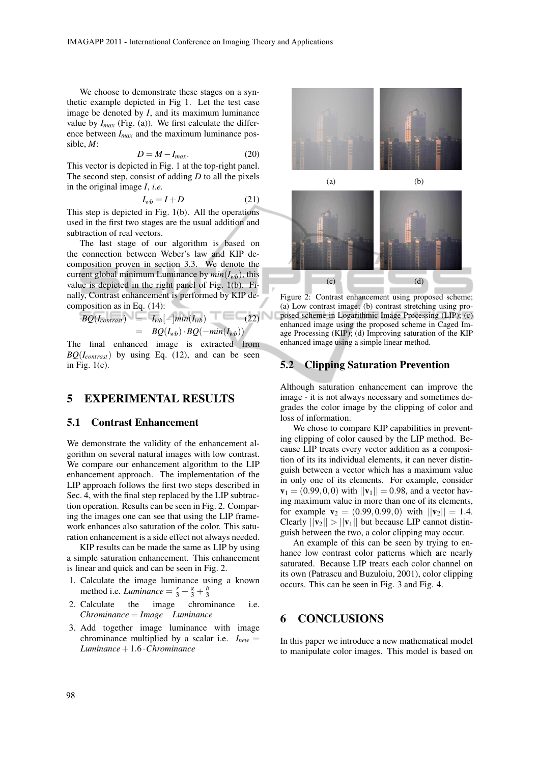We choose to demonstrate these stages on a synthetic example depicted in Fig 1. Let the test case image be denoted by *I*, and its maximum luminance value by  $I_{max}$  (Fig. (a)). We first calculate the difference between *Imax* and the maximum luminance possible, *M*:

$$
D = M - I_{max}.
$$
 (20)

This vector is depicted in Fig. 1 at the top-right panel. The second step, consist of adding *D* to all the pixels in the original image *I*, *i.e.*

$$
I_{wb} = I + D \tag{21}
$$

This step is depicted in Fig. 1(b). All the operations used in the first two stages are the usual addition and subtraction of real vectors.

The last stage of our algorithm is based on the connection between Weber's law and KIP decomposition proven in section 3.3. We denote the current global minimum Luminance by  $min(I_{wb})$ , this value is depicted in the right panel of Fig. 1(b). Finally, Contrast enhancement is performed by KIP decomposition as in Eq. (14):

$$
BQ(I_{contrast}) = I_{wb}[-]min(I_{wb})
$$
\n
$$
= BQ(I_{wb}) \cdot BQ(-min(I_{wb}))
$$
\n(22)

The final enhanced image is extracted from *BQ*(*Icontrast*) by using Eq. (12), and can be seen in Fig. 1(c).

### 5 EXPERIMENTAL RESULTS

#### 5.1 Contrast Enhancement

We demonstrate the validity of the enhancement algorithm on several natural images with low contrast. We compare our enhancement algorithm to the LIP enhancement approach. The implementation of the LIP approach follows the first two steps described in Sec. 4, with the final step replaced by the LIP subtraction operation. Results can be seen in Fig. 2. Comparing the images one can see that using the LIP framework enhances also saturation of the color. This saturation enhancement is a side effect not always needed.

KIP results can be made the same as LIP by using a simple saturation enhancement. This enhancement is linear and quick and can be seen in Fig. 2.

- 1. Calculate the image luminance using a known method i.e. *Luminance* =  $\frac{r}{3} + \frac{g}{3} + \frac{b}{3}$
- 2. Calculate the image chrominance i.e. *Chrominance* = *Image*−*Luminance*
- 3. Add together image luminance with image chrominance multiplied by a scalar i.e.  $I_{new}$  = *Luminance*+1.6 ·*Chrominance*





Figure 2: Contrast enhancement using proposed scheme; (a) Low contrast image; (b) contrast stretching using proposed scheme in Logarithmic Image Processing (LIP); (c) enhanced image using the proposed scheme in Caged Image Processing (KIP); (d) Improving saturation of the KIP enhanced image using a simple linear method.

#### 5.2 Clipping Saturation Prevention

Although saturation enhancement can improve the image - it is not always necessary and sometimes degrades the color image by the clipping of color and loss of information.

We chose to compare KIP capabilities in preventing clipping of color caused by the LIP method. Because LIP treats every vector addition as a composition of its its individual elements, it can never distinguish between a vector which has a maximum value in only one of its elements. For example, consider  $v_1 = (0.99, 0, 0)$  with  $||v_1|| = 0.98$ , and a vector having maximum value in more than one of its elements, for example  $\mathbf{v}_2 = (0.99, 0.99, 0)$  with  $||\mathbf{v}_2|| = 1.4$ . Clearly  $||\mathbf{v}_2|| > ||\mathbf{v}_1||$  but because LIP cannot distinguish between the two, a color clipping may occur.

An example of this can be seen by trying to enhance low contrast color patterns which are nearly saturated. Because LIP treats each color channel on its own (Patrascu and Buzuloiu, 2001), color clipping occurs. This can be seen in Fig. 3 and Fig. 4.

## 6 CONCLUSIONS

In this paper we introduce a new mathematical model to manipulate color images. This model is based on